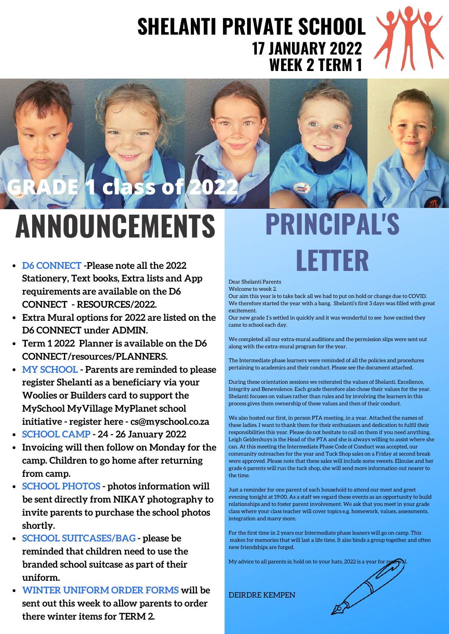### **SHELANTI PRIVATE SCHOOL WEEK 2 TERM 1 17 JANUARY 2022**



### **PRINCIPAL'S ANNOUNCEMENTS**

- **D6 CONNECT -Please note all the 2022 Stationery, Text books, Extra lists and App requirements are available on the D6 CONNECT - RESOURCES/2022.**
- **Extra Mural options for 2022 are listed on the D6 CONNECT under ADMIN.**
- **Term 1 2022 Planner is available on the D6 CONNECT/resources/PLANNERS.**
- **MY SCHOOL - Parents are reminded to please register Shelanti as a beneficiary via your Woolies or Builders card to support the MySchool MyVillage MyPlanet school initiative - register here - cs@myschool.co.za**
- **SCHOOL CAMP - 24 - 26 January 2022**
- **Invoicing will then follow on Monday for the camp. Children to go home after returning from camp.**
- **SCHOOL PHOTOS - photos information will be sent directly from NIKAY photography to invite parents to purchase the school photos shortly.**
- **SCHOOL SUITCASES/BAG - please be reminded that children need to use the branded school suitcase as part of their uniform.**
- **WINTER UNIFORM ORDER FORMS will be sent out this week to allow parents to order there winter items for TERM 2.**



#### Dear Shelanti Parents Welcome to week 2.

Our aim this year is to take back all we had to put on hold or change due to COVID. We therefore started the year with a bang. Shelanti's first 3 days was filled with great excitement.

Our new grade 1's settled in quickly and it was wonderful to see how excited they came to school each day.

We completed all our extra-mural auditions and the permission slips were sent out along with the extra-mural program for the year.

The Intermediate phase learners were reminded of all the policies and procedures pertaining to academics and their conduct. Please see the document attached.

During these orientation sessions we reiterated the values of Shelanti. Excellence, Integrity and Benevolence. Each grade therefore also chose their values for the year. Shelanti focuses on values rather than rules and by involving the learners in this process gives them ownership of these values and then of their conduct.

We also hosted our first, in person PTA meeting, in a year. Attached the names of these ladies. I want to thank them for their enthusiasm and dedication to fulfil their responsibilities this year. Please do not hesitate to call on them if you need anything. Leigh Geldenhuys is the Head of the PTA and she is always willing to assist where she can. At this meeting the Intermediate Phase Code of Conduct was accepted, our community outreaches for the year and Tuck Shop sales on a Friday at second break were approved. Please note that these sales will include some sweets. Ellouise and her grade 6 parents will run the tuck shop, she will send more information out nearer to the time.

Just a reminder for one parent of each household to attend our meet and greet evening tonight at 19:00. As a staff we regard these events as an opportunity to build relationships and to foster parent involvement. We ask that you meet in your grade class where your class teacher will cover topics e.g. homework, values, assessments, integration and many more.

For the first time in 2 years our Intermediate phase leaners will go on camp. This makes for memories that will last a life time. It also binds a group together and often new friendships are forged.

My advice to all parents is; hold on to your hats, 2022 is a year for rex

DEIRDRE KEMPEN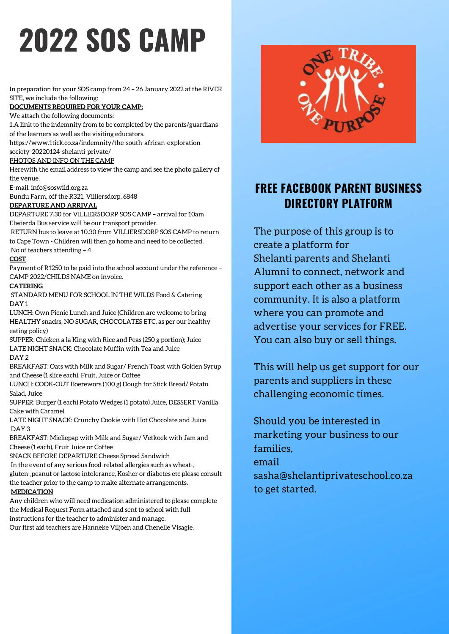## **2022 SOS CAMP**

In preparation for your SOS camp from 24 – 26 January 2022 at the RIVER SITE, we include the following:

**DOCUMENTS REQUIRED FOR YOUR CAMP:**

We attach the following documents:

1.A link to the indemnity from to be completed by the parents/guardians

of the learners as well as the visiting educators.

[https://www.1tick.co.za/indemnity/the-south-african-exploration-](https://www.1tick.co.za/indemnity/the-south-african-exploration-society-20220124-shelanti-private/)

society-20220124-shelanti-private/

### PHOTOS AND INFO ON THE CAMP

Herewith the email address to view the camp and see the photo gallery of the venue.

E-mail: [info@soswild.org.za](mailto:info@soswild.org.za?subject=SOS%20Wild%20enquiry)

Bundu Farm, off the R321, Villiersdorp, 6848

### **DEPARTURE AND ARRIVAL**

DEPARTURE 7.30 for VILLIERSDORP SOS CAMP - arrival for 10am Elwierda Bus service will be our transport provider.

RETURN bus to leave at 10.30 from VILLIERSDORP SOS CAMP to return to Cape Town - Children will then go home and need to be collected.

### No of teachers attending – 4

**COST**

Payment of R1250 to be paid into the school account under the reference – CAMP 2022/CHILDS NAME on invoice.

### **CATERING**

STANDARD MENU FOR SCHOOL IN THE WILDS Food & Catering DAY 1

LUNCH: Own Picnic Lunch and Juice (Children are welcome to bring HEALTHY snacks, NO SUGAR, CHOCOLATES ETC, as per our healthy eating policy)

SUPPER: Chicken a la King with Rice and Peas (250 g portion); Juice LATE NIGHT SNACK: Chocolate Muffin with Tea and Juice DAY 2

BREAKFAST: Oats with Milk and Sugar/ French Toast with Golden Syrup and Cheese (1 slice each), Fruit, Juice or Coffee

LUNCH: COOK-OUT Boerewors (100 g) Dough for Stick Bread/ Potato Salad, Juice

SUPPER: Burger (1 each) Potato Wedges (1 potato) Juice, DESSERT Vanilla Cake with Caramel

LATE NIGHT SNACK: Crunchy Cookie with Hot Chocolate and Juice DAY 3

BREAKFAST: Mieliepap with Milk and Sugar/ Vetkoek with Jam and Cheese (1 each), Fruit Juice or Coffee

SNACK BEFORE DEPARTURE Cheese Spread Sandwich In the event of any serious food-related allergies such as wheat-, gluten-,peanut or lactose intolerance, Kosher or diabetes etc please consult

the teacher prior to the camp to make alternate arrangements.

### **MEDICATION**

Any children who will need medication administered to please complete the Medical Request Form attached and sent to school with full instructions for the teacher to administer and manage.

Our first aid teachers are Hanneke Viljoen and Chenelle Visagie.



### **FREE FACEBOOK PARENT BUSINESS DIRECTORY PLATFORM**

The purpose of this group is to create a platform for Shelanti parents and Shelanti Alumni to connect, network and support each other as a business community. It is also a platform where you can promote and advertise your services for FREE. You can also buy or sell things.

This will help us get support for our parents and suppliers in these challenging economic times.

Should you be interested in marketing your business to our families, email sasha@shelantiprivateschool.co.za to get started.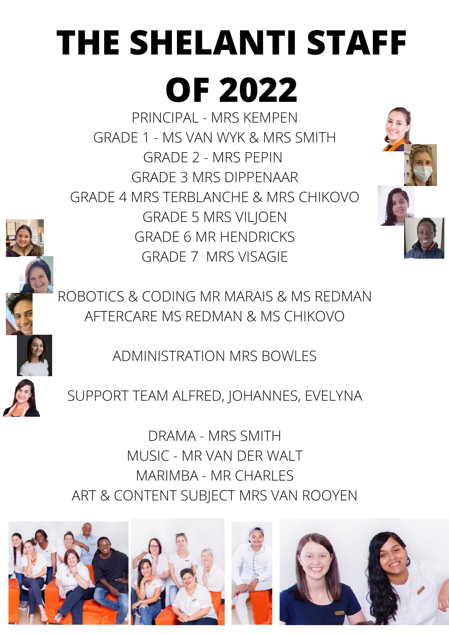# **THE SHELANTI STAFF**

## **OF 2022**

PRINCIPAL - MRS KEMPEN GRADE 1 - MS VAN WYK & MRS SMITH GRADE 2 - MRS PEPIN GRADE 3 MRS DIPPENAAR GRADE 4 MRS TERBLANCHE & MRS CHIKOVO GRADE 5 MRS VILJOEN GRADE 6 MR HENDRICKS GRADE 7 MRS VISAGIE



ROBOTICS & CODING MR MARAIS & MS REDMAN AFTERCARE MS REDMAN & MS CHIKOVO

ADMINISTRATION MRS BOWLES

SUPPORT TEAM ALFRED, JOHANNES, EVELYNA

DRAMA - MRS SMITH MUSIC - MR VAN DER WALT MARIMBA - MR CHARLES ART & CONTENT SUBJECT MRS VAN ROOYEN

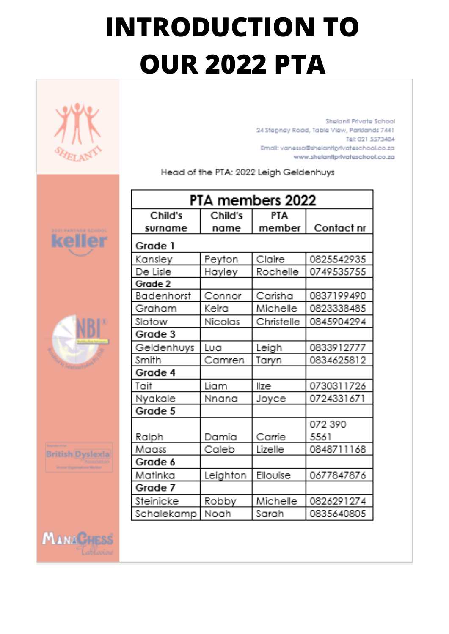### **INTRODUCTION TO OUR 2022 PTA**



Shelanti Private School 24 Stepney Road, Table View, Parklands 7441 Tel: 021 5573484 Email: vanessa@shelantiprivateschool.co.za www.shelantiprivateschool.co.za

Head of the PTA: 2022 Leigh Geldenhuys

| PTA members 2022  |          |            |            |
|-------------------|----------|------------|------------|
| Child's           | Child's  | <b>PTA</b> |            |
| surname           | name     | member     | Contact nr |
| Grade 1           |          |            |            |
| Kansley           | Peyton   | Claire     | 0825542935 |
| De Lisle          | Hayley   | Rochelle   | 0749535755 |
| Grade 2           |          |            |            |
| <b>Badenhorst</b> | Connor   | Carisha    | 0837199490 |
| Graham            | Keira    | Michelle   | 0823338485 |
| Slotow            | Nicolas  | Christelle | 0845904294 |
| Grade 3           |          |            |            |
| Geldenhuys        | Lua      | Leigh      | 0833912777 |
| Smith             | Camren   | Taryn      | 0834625812 |
| Grade 4           |          |            |            |
| Toit              | Liam     | lize       | 0730311726 |
| Nyakale           | Nnana    | Joyce      | 0724331671 |
| Grade 5           |          |            |            |
|                   |          |            | 072 390    |
| Ralph             | Damia    | Came       | 5561       |
| Maass             | Caleb    | Lizelle    | 0848711168 |
| Grade 6           |          |            |            |
| Matinka           | Leighton | Ellouise   | 0677847876 |
| Grade 7           |          |            |            |
| Steinicke         | Robby    | Michelle   | 0826291274 |
| Schalekamp        | Noah     | Sarah      | 0835640805 |





**British Dyslex!a** 

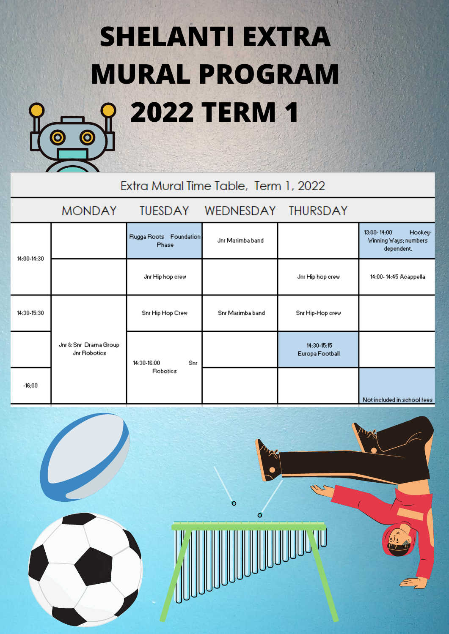### **SHELANTI EXTRA MURAL PROGRAM 2022 TERM 1**



Extra Mural Time Table, Term 1, 2022

#### **MONDAY TUESDAY** WEDNESDAY **THURSDAY** 13:00-14:00 Hockey-Rugga Roots Foundation Jnr Marimba band Winning Ways; numbers Phase dependent. 14:00-14:30 Jnr Hip hop crew Jnr Hip hop crew 14:00-14:45 Acappella 14:30-15:30 Snr Hip Hop Crew Snr Marimba band Snr Hip-Hop crew Jnr & Snr, Drama Group 14:30-15:15 Jnr Robotics Europa Football 14:30-16:00 Snr Robotics  $-16:00$

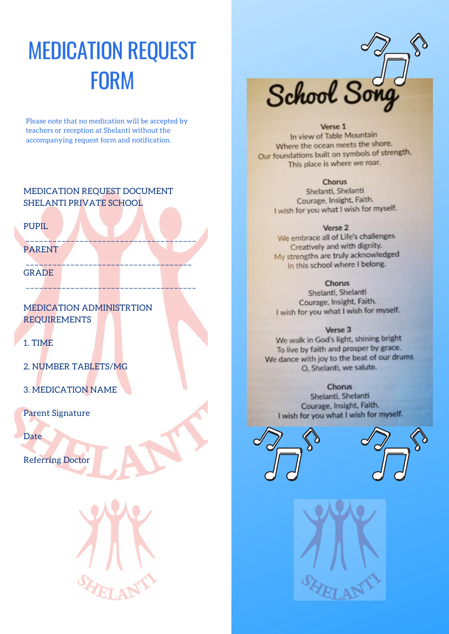### MEDICATION REQUEST FORM

Please note that no medication will be accepted by teachers or reception at Shelanti without the accompanying request form and notification.

### MEDICATION REQUEST DOCUMENT SHELANTI PRIVATE SCHOOL

\_\_\_\_\_\_\_\_\_\_\_\_\_\_\_\_\_\_\_\_\_\_\_\_\_\_\_\_\_\_\_\_\_\_\_\_\_\_

\_\_\_\_\_\_\_\_\_\_\_\_\_\_\_\_\_\_\_\_\_\_\_\_\_\_\_\_\_\_\_\_\_\_\_\_\_

\_\_\_\_\_\_\_\_\_\_\_\_\_\_\_\_\_\_\_\_\_\_\_\_\_\_\_\_\_\_\_\_\_\_\_\_\_\_

PUPIL

PARENT

**GRADE** 

MEDICATION ADMINISTRTION REQUIREMENTS

1. TIME

2. NUMBER TABLETS/MG

3. MEDICATION NAME

Parent Signature

Date

Referring Doctor



School So

#### Verse 1

In view of Table Mountain Where the ocean meets the shore, Our foundations built on symbols of strength, This place is where we roar.

### **Chorus**

Shelanti, Shelanti Courage, Insight, Faith. I wish for you what I wish for myself.

### Verse<sub>2</sub>

We embrace all of Life's challenges Creatively and with dignity. My strengths are truly acknowledged In this school where I belong.

### Chorus

Shelanti, Shelanti Courage, Insight, Faith. I wish for you what I wish for myself.

#### Verse 3

We walk in God's light, shining bright To live by faith and prosper by grace. We dance with joy to the beat of our drums O, Shelanti, we salute.

#### Chorus

Shelanti, Shelanti Courage, Insight, Faith. I wish for you what I wish for myself.